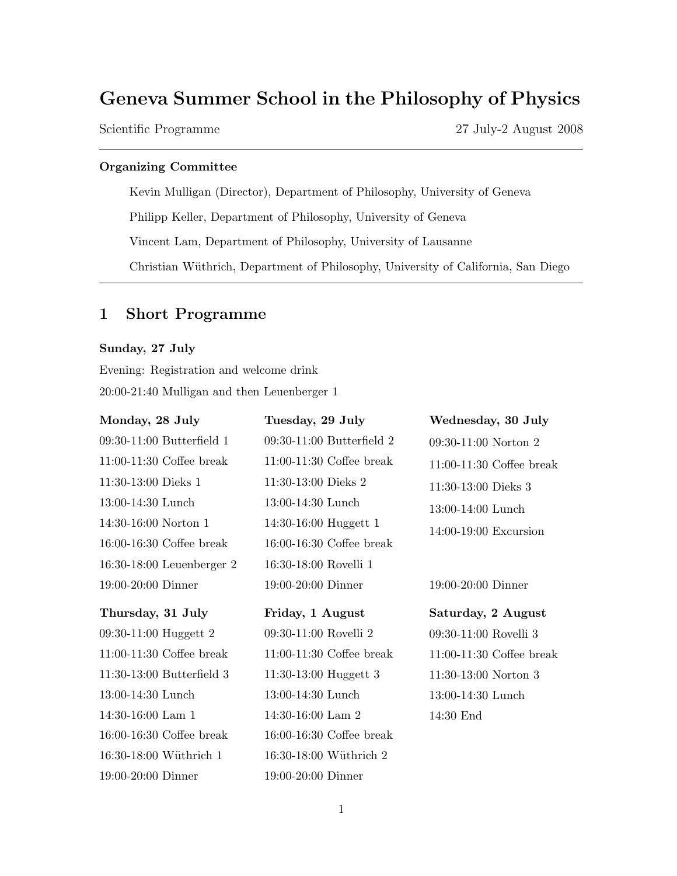# Geneva Summer School in the Philosophy of Physics

Scientific Programme 27 July-2 August 2008

# Organizing Committee

Kevin Mulligan (Director), Department of Philosophy, University of Geneva Philipp Keller, Department of Philosophy, University of Geneva Vincent Lam, Department of Philosophy, University of Lausanne Christian Wüthrich, Department of Philosophy, University of California, San Diego

# 1 Short Programme

# Sunday, 27 July

16:30-18:00 Wüthrich 1

19:00-20:00 Dinner

Evening: Registration and welcome drink 20:00-21:40 Mulligan and then Leuenberger 1

| Monday, 28 July             | Tuesday, 29 July            | Wednesday, 30 July         |
|-----------------------------|-----------------------------|----------------------------|
| $09:30-11:00$ Butterfield 1 | $09:30-11:00$ Butterfield 2 | $09:30-11:00$ Norton 2     |
| $11:00-11:30$ Coffee break  | $11:00-11:30$ Coffee break  | $11:00-11:30$ Coffee break |
| $11:30-13:00$ Dieks 1       | $11:30-13:00$ Dieks 2       | 11:30-13:00 Dieks 3        |
| 13:00-14:30 Lunch           | 13:00-14:30 Lunch           | 13:00-14:00 Lunch          |
| 14:30-16:00 Norton 1        | 14:30-16:00 Huggett 1       | $14:00-19:00$ Excursion    |
| $16:00-16:30$ Coffee break  | $16:00-16:30$ Coffee break  |                            |
| 16:30-18:00 Leuenberger 2   | 16:30-18:00 Rovelli 1       |                            |
| $19:00-20:00$ Dinner        | $19:00-20:00$ Dinner        | 19:00-20:00 Dinner         |
| Thursday, 31 July           | Friday, 1 August            | Saturday, 2 August         |
| 09:30-11:00 Huggett 2       | 09:30-11:00 Rovelli 2       | 09:30-11:00 Rovelli 3      |
| $11:00-11:30$ Coffee break  | $11:00-11:30$ Coffee break  | $11:00-11:30$ Coffee break |
| $11:30-13:00$ Butterfield 3 | 11:30-13:00 Huggett 3       | $11:30-13:00$ Norton 3     |
| $13:00-14:30$ Lunch         | 13:00-14:30 Lunch           | 13:00-14:30 Lunch          |
| $14:30-16:00$ Lam 1         | $14:30-16:00$ Lam 2         | $14:30$ End                |
| $16:00-16:30$ Coffee break  | $16:00-16:30$ Coffee break  |                            |

 $16:30\textrm{--}18:00$  Wüthrich  $2$ 

19:00-20:00 Dinner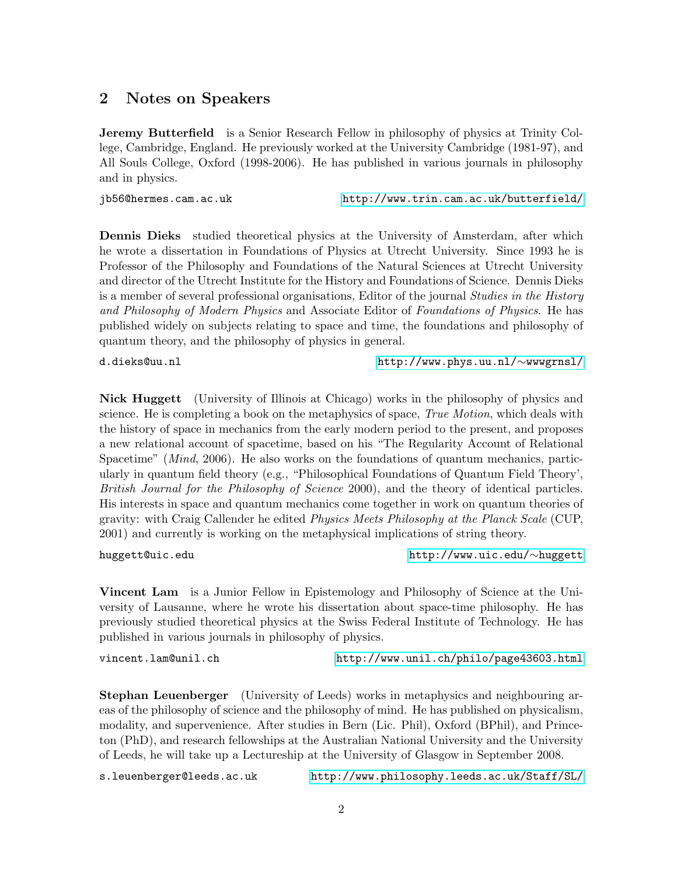# 2 Notes on Speakers

Jeremy Butterfield is a Senior Research Fellow in philosophy of physics at Trinity College, Cambridge, England. He previously worked at the University Cambridge (1981-97), and All Souls College, Oxford (1998-2006). He has published in various journals in philosophy and in physics.

jb56@hermes.cam.ac.uk<http://www.trin.cam.ac.uk/butterfield/>

Dennis Dieks studied theoretical physics at the University of Amsterdam, after which he wrote a dissertation in Foundations of Physics at Utrecht University. Since 1993 he is Professor of the Philosophy and Foundations of the Natural Sciences at Utrecht University and director of the Utrecht Institute for the History and Foundations of Science. Dennis Dieks is a member of several professional organisations, Editor of the journal *Studies in the History* and Philosophy of Modern Physics and Associate Editor of Foundations of Physics. He has published widely on subjects relating to space and time, the foundations and philosophy of quantum theory, and the philosophy of physics in general.

d.dieks@uu.nl [http://www.phys.uu.nl/](http://www.phys.uu.nl/~wwwgrnsl/)∼wwwgrnsl/

Nick Huggett (University of Illinois at Chicago) works in the philosophy of physics and science. He is completing a book on the metaphysics of space, *True Motion*, which deals with the history of space in mechanics from the early modern period to the present, and proposes a new relational account of spacetime, based on his "The Regularity Account of Relational Spacetime" (*Mind*, 2006). He also works on the foundations of quantum mechanics, particularly in quantum field theory (e.g., "Philosophical Foundations of Quantum Field Theory', British Journal for the Philosophy of Science 2000), and the theory of identical particles. His interests in space and quantum mechanics come together in work on quantum theories of gravity: with Craig Callender he edited Physics Meets Philosophy at the Planck Scale (CUP, 2001) and currently is working on the metaphysical implications of string theory.

huggett@uic.edu [http://www.uic.edu/](http://www.uic.edu/~huggett)∼huggett

Vincent Lam is a Junior Fellow in Epistemology and Philosophy of Science at the University of Lausanne, where he wrote his dissertation about space-time philosophy. He has previously studied theoretical physics at the Swiss Federal Institute of Technology. He has published in various journals in philosophy of physics.

vincent.lam@unil.ch<http://www.unil.ch/philo/page43603.html>

Stephan Leuenberger (University of Leeds) works in metaphysics and neighbouring areas of the philosophy of science and the philosophy of mind. He has published on physicalism, modality, and supervenience. After studies in Bern (Lic. Phil), Oxford (BPhil), and Princeton (PhD), and research fellowships at the Australian National University and the University of Leeds, he will take up a Lectureship at the University of Glasgow in September 2008.

s.leuenberger@leeds.ac.uk<http://www.philosophy.leeds.ac.uk/Staff/SL/>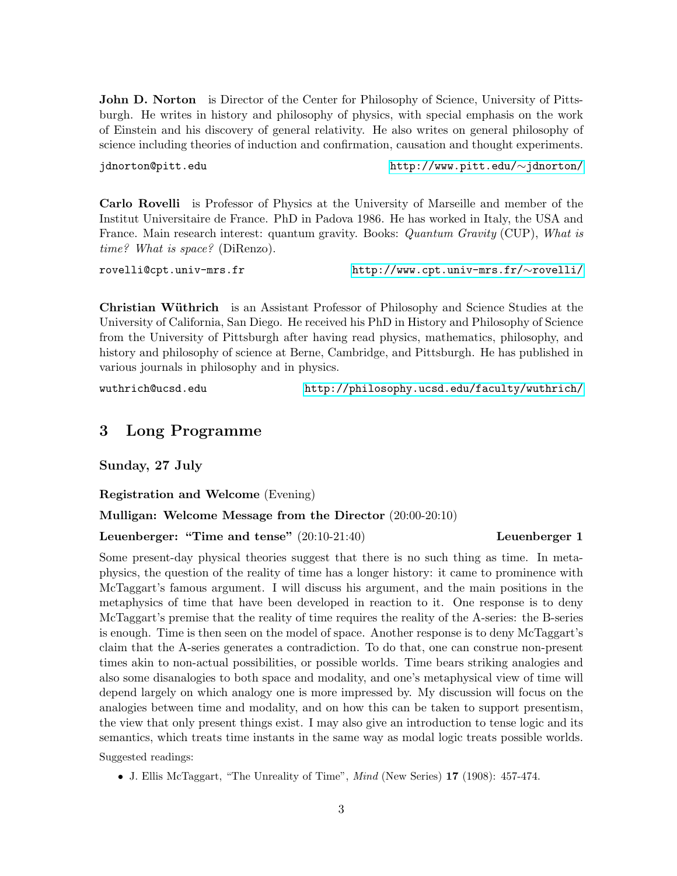John D. Norton is Director of the Center for Philosophy of Science, University of Pittsburgh. He writes in history and philosophy of physics, with special emphasis on the work of Einstein and his discovery of general relativity. He also writes on general philosophy of science including theories of induction and confirmation, causation and thought experiments.

jdnorton@pitt.edu [http://www.pitt.edu/](http://www.pitt.edu/~jdnorton/)∼jdnorton/

Carlo Rovelli is Professor of Physics at the University of Marseille and member of the Institut Universitaire de France. PhD in Padova 1986. He has worked in Italy, the USA and France. Main research interest: quantum gravity. Books: Quantum Gravity (CUP), What is time? What is space? (DiRenzo).

rovelli@cpt.univ-mrs.fr [http://www.cpt.univ-mrs.fr/](http://www.cpt.univ-mrs.fr/~rovelli/)∼rovelli/

Christian Wüthrich is an Assistant Professor of Philosophy and Science Studies at the University of California, San Diego. He received his PhD in History and Philosophy of Science from the University of Pittsburgh after having read physics, mathematics, philosophy, and history and philosophy of science at Berne, Cambridge, and Pittsburgh. He has published in various journals in philosophy and in physics.

wuthrich@ucsd.edu<http://philosophy.ucsd.edu/faculty/wuthrich/>

# 3 Long Programme

Sunday, 27 July

Registration and Welcome (Evening)

# Mulligan: Welcome Message from the Director (20:00-20:10)

Leuenberger: "Time and tense"  $(20:10-21:40)$  Leuenberger 1

Some present-day physical theories suggest that there is no such thing as time. In metaphysics, the question of the reality of time has a longer history: it came to prominence with McTaggart's famous argument. I will discuss his argument, and the main positions in the metaphysics of time that have been developed in reaction to it. One response is to deny McTaggart's premise that the reality of time requires the reality of the A-series: the B-series is enough. Time is then seen on the model of space. Another response is to deny McTaggart's claim that the A-series generates a contradiction. To do that, one can construe non-present times akin to non-actual possibilities, or possible worlds. Time bears striking analogies and also some disanalogies to both space and modality, and one's metaphysical view of time will depend largely on which analogy one is more impressed by. My discussion will focus on the analogies between time and modality, and on how this can be taken to support presentism, the view that only present things exist. I may also give an introduction to tense logic and its semantics, which treats time instants in the same way as modal logic treats possible worlds.

Suggested readings:

• J. Ellis McTaggart, "The Unreality of Time", Mind (New Series) 17 (1908): 457-474.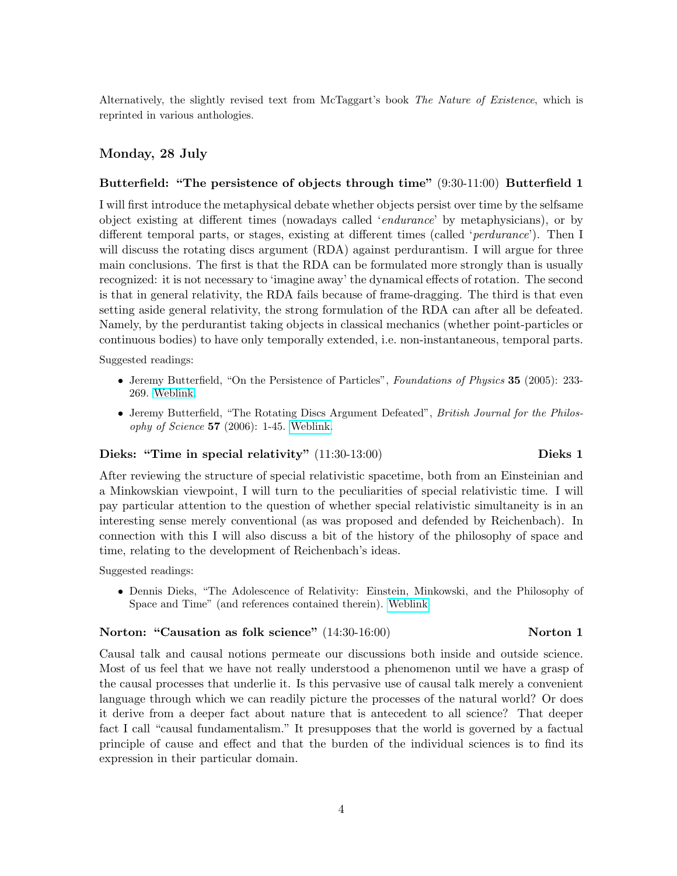Alternatively, the slightly revised text from McTaggart's book The Nature of Existence, which is reprinted in various anthologies.

# Monday, 28 July

#### Butterfield: "The persistence of objects through time" (9:30-11:00) Butterfield 1

I will first introduce the metaphysical debate whether objects persist over time by the selfsame object existing at different times (nowadays called 'endurance' by metaphysicians), or by different temporal parts, or stages, existing at different times (called 'perdurance'). Then I will discuss the rotating discs argument (RDA) against perdurantism. I will argue for three main conclusions. The first is that the RDA can be formulated more strongly than is usually recognized: it is not necessary to 'imagine away' the dynamical effects of rotation. The second is that in general relativity, the RDA fails because of frame-dragging. The third is that even setting aside general relativity, the strong formulation of the RDA can after all be defeated. Namely, by the perdurantist taking objects in classical mechanics (whether point-particles or continuous bodies) to have only temporally extended, i.e. non-instantaneous, temporal parts.

Suggested readings:

- Jeremy Butterfield, "On the Persistence of Particles", Foundations of Physics 35 (2005): 233-269. [Weblink.](http://philsci-archive.pitt.edu/archive/00001586/)
- Jeremy Butterfield, "The Rotating Discs Argument Defeated", British Journal for the Philosophy of Science 57 (2006): 1-45. [Weblink.](http://philsci-archive.pitt.edu/archive/00002382/)

#### Dieks: "Time in special relativity" (11:30-13:00) Dieks 1

After reviewing the structure of special relativistic spacetime, both from an Einsteinian and a Minkowskian viewpoint, I will turn to the peculiarities of special relativistic time. I will pay particular attention to the question of whether special relativistic simultaneity is in an interesting sense merely conventional (as was proposed and defended by Reichenbach). In connection with this I will also discuss a bit of the history of the philosophy of space and time, relating to the development of Reichenbach's ideas.

Suggested readings:

• Dennis Dieks, "The Adolescence of Relativity: Einstein, Minkowski, and the Philosophy of Space and Time" (and references contained therein). [Weblink](http://www.phys.uu.nl/igg/Dieks_Zomerschool/)

### Norton: "Causation as folk science" (14:30-16:00) Norton 1

Causal talk and causal notions permeate our discussions both inside and outside science. Most of us feel that we have not really understood a phenomenon until we have a grasp of the causal processes that underlie it. Is this pervasive use of causal talk merely a convenient language through which we can readily picture the processes of the natural world? Or does it derive from a deeper fact about nature that is antecedent to all science? That deeper fact I call "causal fundamentalism." It presupposes that the world is governed by a factual principle of cause and effect and that the burden of the individual sciences is to find its expression in their particular domain.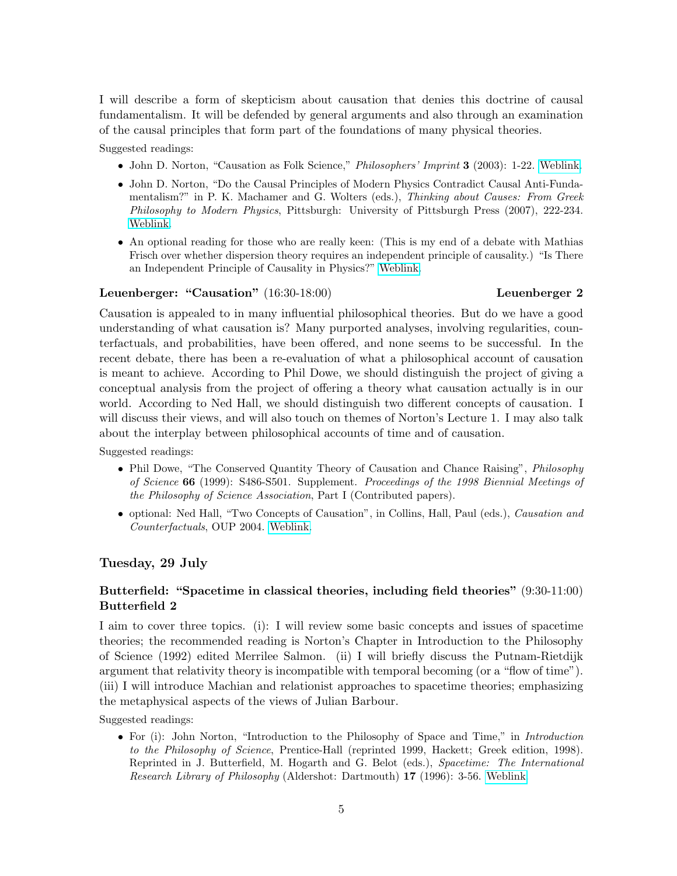I will describe a form of skepticism about causation that denies this doctrine of causal fundamentalism. It will be defended by general arguments and also through an examination of the causal principles that form part of the foundations of many physical theories.

Suggested readings:

- John D. Norton, "Causation as Folk Science," *Philosophers' Imprint* 3 (2003): 1-22. [Weblink.](http://www. philosophersimprint.org/003004/)
- John D. Norton, "Do the Causal Principles of Modern Physics Contradict Causal Anti-Fundamentalism?" in P. K. Machamer and G. Wolters (eds.), Thinking about Causes: From Greek Philosophy to Modern Physics, Pittsburgh: University of Pittsburgh Press (2007), 222-234. [Weblink.](http://www.pitt.edu/~jdnorton/papers/Causation_PKVII_final.pdf)
- An optional reading for those who are really keen: (This is my end of a debate with Mathias Frisch over whether dispersion theory requires an independent principle of causality.) "Is There an Independent Principle of Causality in Physics?" [Weblink.](http://www.pitt.edu/~jdnorton/papers/On_Frisch_PC_v3.pdf)

#### Leuenberger: "Causation" (16:30-18:00) Leuenberger 2

Causation is appealed to in many influential philosophical theories. But do we have a good understanding of what causation is? Many purported analyses, involving regularities, counterfactuals, and probabilities, have been offered, and none seems to be successful. In the recent debate, there has been a re-evaluation of what a philosophical account of causation is meant to achieve. According to Phil Dowe, we should distinguish the project of giving a conceptual analysis from the project of offering a theory what causation actually is in our world. According to Ned Hall, we should distinguish two different concepts of causation. I will discuss their views, and will also touch on themes of Norton's Lecture 1. I may also talk about the interplay between philosophical accounts of time and of causation.

Suggested readings:

- Phil Dowe, "The Conserved Quantity Theory of Causation and Chance Raising", *Philosophy* of Science 66 (1999): S486-S501. Supplement. Proceedings of the 1998 Biennial Meetings of the Philosophy of Science Association, Part I (Contributed papers).
- optional: Ned Hall, "Two Concepts of Causation", in Collins, Hall, Paul (eds.), Causation and Counterfactuals, OUP 2004. [Weblink.](http://www.fitelson.org/269/Hall_TCOC.pdf)

# Tuesday, 29 July

# Butterfield: "Spacetime in classical theories, including field theories" (9:30-11:00) Butterfield 2

I aim to cover three topics. (i): I will review some basic concepts and issues of spacetime theories; the recommended reading is Norton's Chapter in Introduction to the Philosophy of Science (1992) edited Merrilee Salmon. (ii) I will briefly discuss the Putnam-Rietdijk argument that relativity theory is incompatible with temporal becoming (or a "flow of time"). (iii) I will introduce Machian and relationist approaches to spacetime theories; emphasizing the metaphysical aspects of the views of Julian Barbour.

Suggested readings:

• For (i): John Norton, "Introduction to the Philosophy of Space and Time," in *Introduction* to the Philosophy of Science, Prentice-Hall (reprinted 1999, Hackett; Greek edition, 1998). Reprinted in J. Butterfield, M. Hogarth and G. Belot (eds.), Spacetime: The International Research Library of Philosophy (Aldershot: Dartmouth) 17 (1996): 3-56. [Weblink.](http://www.pitt.edu/~jdnorton/homepage/cv.html#L1992)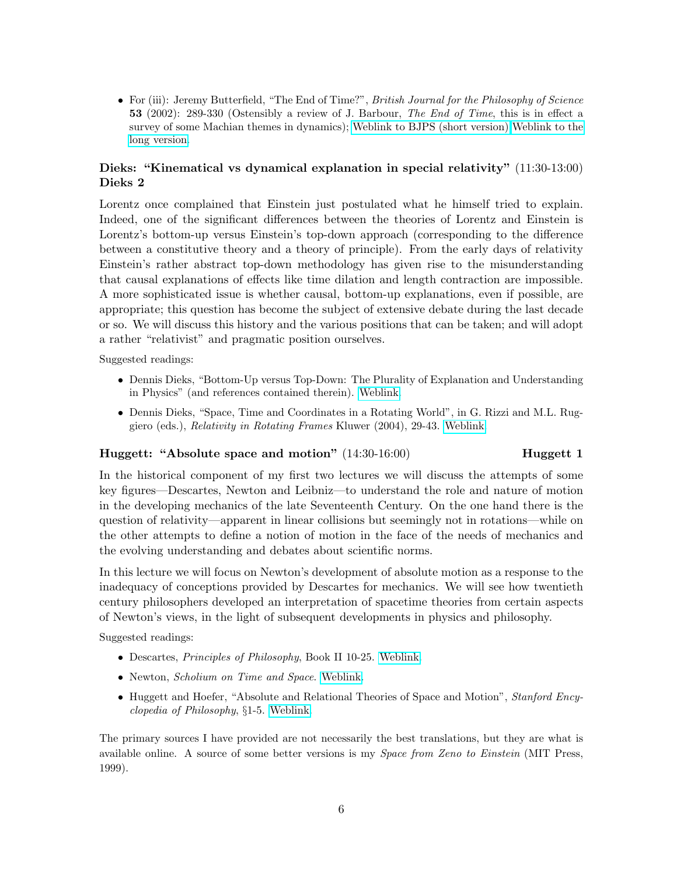• For (iii): Jeremy Butterfield, "The End of Time?", British Journal for the Philosophy of Science 53 (2002): 289-330 (Ostensibly a review of J. Barbour, The End of Time, this is in effect a survey of some Machian themes in dynamics); [Weblink to BJPS \(short version\)](http://bjps.oxfordjournals.org/cgi/content/abstract/53/2/289) [Weblink to the](http://www.trin.cam.ac.uk/butterfield/Reviews/BarbourReviewLong.pdf) [long version.](http://www.trin.cam.ac.uk/butterfield/Reviews/BarbourReviewLong.pdf)

# Dieks: "Kinematical vs dynamical explanation in special relativity" (11:30-13:00) Dieks 2

Lorentz once complained that Einstein just postulated what he himself tried to explain. Indeed, one of the significant differences between the theories of Lorentz and Einstein is Lorentz's bottom-up versus Einstein's top-down approach (corresponding to the difference between a constitutive theory and a theory of principle). From the early days of relativity Einstein's rather abstract top-down methodology has given rise to the misunderstanding that causal explanations of effects like time dilation and length contraction are impossible. A more sophisticated issue is whether causal, bottom-up explanations, even if possible, are appropriate; this question has become the subject of extensive debate during the last decade or so. We will discuss this history and the various positions that can be taken; and will adopt a rather "relativist" and pragmatic position ourselves.

Suggested readings:

- Dennis Dieks, "Bottom-Up versus Top-Down: The Plurality of Explanation and Understanding in Physics" (and references contained therein). [Weblink.](http://www.phys.uu.nl/igg/Dieks_Zomerschool/)
- Dennis Dieks, "Space, Time and Coordinates in a Rotating World", in G. Rizzi and M.L. Ruggiero (eds.), Relativity in Rotating Frames Kluwer (2004), 29-43. [Weblink.](http://www.phys.uu.nl/igg/Dieks_Zomerschool/)

### Huggett: "Absolute space and motion" (14:30-16:00) Huggett 1

In the historical component of my first two lectures we will discuss the attempts of some key figures—Descartes, Newton and Leibniz—to understand the role and nature of motion in the developing mechanics of the late Seventeenth Century. On the one hand there is the question of relativity—apparent in linear collisions but seemingly not in rotations—while on the other attempts to define a notion of motion in the face of the needs of mechanics and the evolving understanding and debates about scientific norms.

In this lecture we will focus on Newton's development of absolute motion as a response to the inadequacy of conceptions provided by Descartes for mechanics. We will see how twentieth century philosophers developed an interpretation of spacetime theories from certain aspects of Newton's views, in the light of subsequent developments in physics and philosophy.

Suggested readings:

- Descartes, Principles of Philosophy, Book II 10-25. [Weblink.](http://www.classicallibrary.org/descartes/principles/02.htm)
- Newton, Scholium on Time and Space. [Weblink.](http://www.mnstate.edu/gracyk/courses/web%20publishing/NewtonScholium.htm)
- Huggett and Hoefer, "Absolute and Relational Theories of Space and Motion", Stanford Encyclopedia of Philosophy, §1-5. [Weblink.](http://plato.stanford.edu/entries/spacetime-theories/)

The primary sources I have provided are not necessarily the best translations, but they are what is available online. A source of some better versions is my *Space from Zeno to Einstein* (MIT Press, 1999).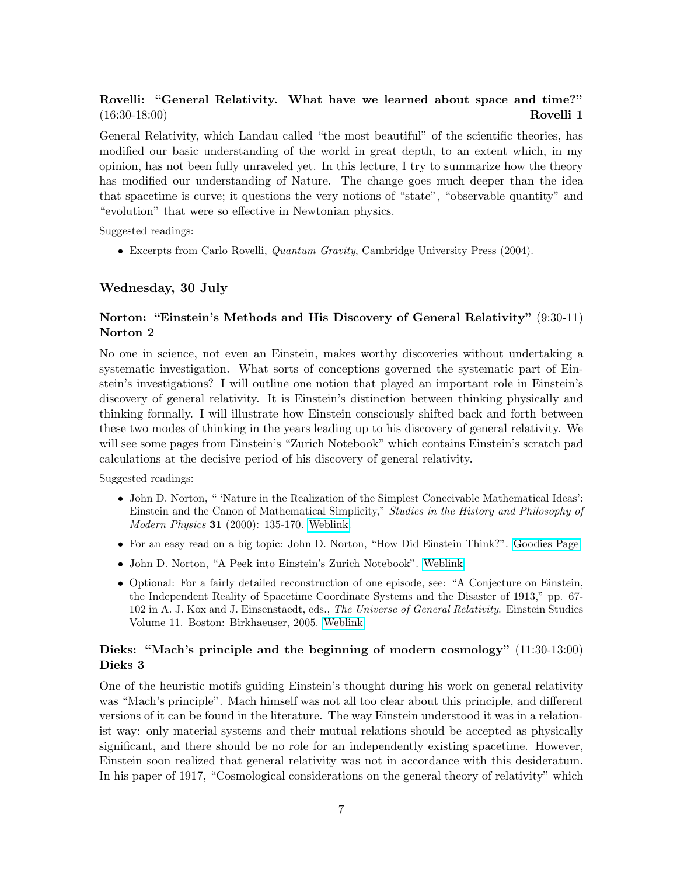# Rovelli: "General Relativity. What have we learned about space and time?" (16:30-18:00) Rovelli 1

General Relativity, which Landau called "the most beautiful" of the scientific theories, has modified our basic understanding of the world in great depth, to an extent which, in my opinion, has not been fully unraveled yet. In this lecture, I try to summarize how the theory has modified our understanding of Nature. The change goes much deeper than the idea that spacetime is curve; it questions the very notions of "state", "observable quantity" and "evolution" that were so effective in Newtonian physics.

Suggested readings:

• Excerpts from Carlo Rovelli, Quantum Gravity, Cambridge University Press (2004).

### Wednesday, 30 July

# Norton: "Einstein's Methods and His Discovery of General Relativity" (9:30-11) Norton 2

No one in science, not even an Einstein, makes worthy discoveries without undertaking a systematic investigation. What sorts of conceptions governed the systematic part of Einstein's investigations? I will outline one notion that played an important role in Einstein's discovery of general relativity. It is Einstein's distinction between thinking physically and thinking formally. I will illustrate how Einstein consciously shifted back and forth between these two modes of thinking in the years leading up to his discovery of general relativity. We will see some pages from Einstein's "Zurich Notebook" which contains Einstein's scratch pad calculations at the decisive period of his discovery of general relativity.

Suggested readings:

- John D. Norton, " 'Nature in the Realization of the Simplest Conceivable Mathematical Ideas': Einstein and the Canon of Mathematical Simplicity," Studies in the History and Philosophy of *Modern Physics* **31** (2000): 135-170. [Weblink.](http://www.pitt.edu/~jdnorton/papers/Einstein_simplicity.pdf)
- For an easy read on a big topic: John D. Norton, "How Did Einstein Think?". [Goodies Page.](http://www.pitt.edu/~jdnorton/Goodies/Einstein_think/index.html)
- John D. Norton, "A Peek into Einstein's Zurich Notebook". [Weblink.](http://www.pitt.edu/~jdnorton/Goodies/index.html#Zurich_Notebookl)
- Optional: For a fairly detailed reconstruction of one episode, see: "A Conjecture on Einstein, the Independent Reality of Spacetime Coordinate Systems and the Disaster of 1913," pp. 67- 102 in A. J. Kox and J. Einsenstaedt, eds., The Universe of General Relativity. Einstein Studies Volume 11. Boston: Birkhaeuser, 2005. [Weblink.](http://www.pitt.edu/~jdnorton/papers/Conjecture_HGR6.pdf)

# Dieks: "Mach's principle and the beginning of modern cosmology" (11:30-13:00) Dieks 3

One of the heuristic motifs guiding Einstein's thought during his work on general relativity was "Mach's principle". Mach himself was not all too clear about this principle, and different versions of it can be found in the literature. The way Einstein understood it was in a relationist way: only material systems and their mutual relations should be accepted as physically significant, and there should be no role for an independently existing spacetime. However, Einstein soon realized that general relativity was not in accordance with this desideratum. In his paper of 1917, "Cosmological considerations on the general theory of relativity" which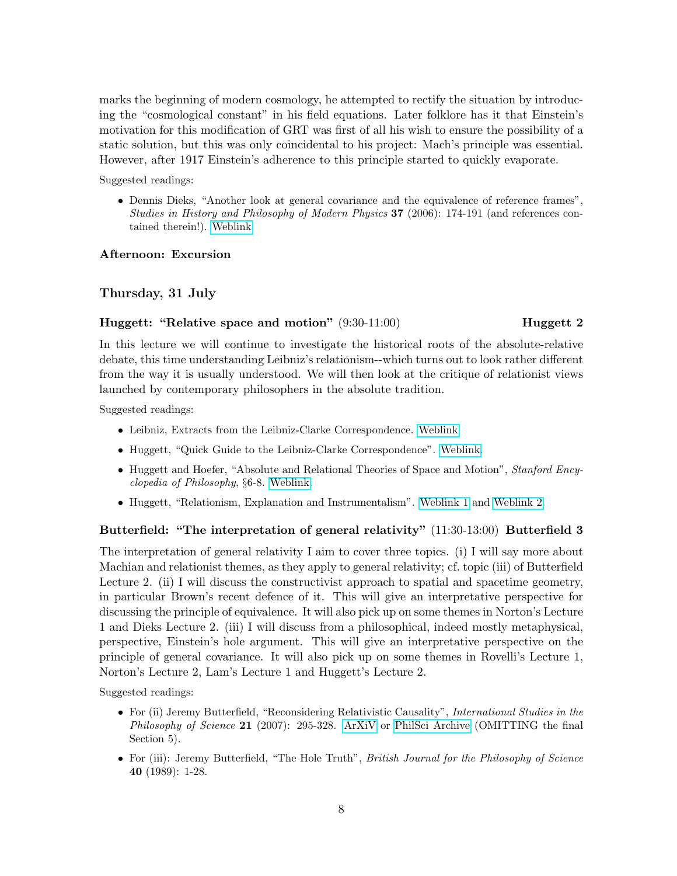marks the beginning of modern cosmology, he attempted to rectify the situation by introducing the "cosmological constant" in his field equations. Later folklore has it that Einstein's motivation for this modification of GRT was first of all his wish to ensure the possibility of a static solution, but this was only coincidental to his project: Mach's principle was essential. However, after 1917 Einstein's adherence to this principle started to quickly evaporate.

Suggested readings:

• Dennis Dieks, "Another look at general covariance and the equivalence of reference frames", Studies in History and Philosophy of Modern Physics 37 (2006): 174-191 (and references contained therein!). [Weblink.](http://www.phys.uu.nl/igg/Dieks_Zomerschool/)

# Afternoon: Excursion

# Thursday, 31 July

# Huggett: "Relative space and motion"  $(9:30-11:00)$  Huggett 2

In this lecture we will continue to investigate the historical roots of the absolute-relative debate, this time understanding Leibniz's relationism--which turns out to look rather different from the way it is usually understood. We will then look at the critique of relationist views launched by contemporary philosophers in the absolute tradition.

Suggested readings:

- Leibniz, Extracts from the Leibniz-Clarke Correspondence. [Weblink.](http://www.physics.ubc.ca/~berciu/PHILIP/TEACHING/PHYS340/EXTRA/FILES/Leibniz-ClarkeA.pdf)
- Huggett, "Quick Guide to the Leibniz-Clarke Correspondence". [Weblink.](http://tigger.uic.edu/~huggett/Nick/My%20Work.html)
- Huggett and Hoefer, "Absolute and Relational Theories of Space and Motion", Stanford Encyclopedia of Philosophy, §6-8. [Weblink.](http://plato.stanford.edu/entries/spacetime-theories/)
- Huggett, "Relationism, Explanation and Instrumentalism". [Weblink 1](http://tigger.uic.edu/~huggett/Relationism.pdf) and [Weblink 2.](http://tigger.uic.edu/~huggett/refs.pdf)

# Butterfield: "The interpretation of general relativity" (11:30-13:00) Butterfield 3

The interpretation of general relativity I aim to cover three topics. (i) I will say more about Machian and relationist themes, as they apply to general relativity; cf. topic (iii) of Butterfield Lecture 2. (ii) I will discuss the constructivist approach to spatial and spacetime geometry, in particular Brown's recent defence of it. This will give an interpretative perspective for discussing the principle of equivalence. It will also pick up on some themes in Norton's Lecture 1 and Dieks Lecture 2. (iii) I will discuss from a philosophical, indeed mostly metaphysical, perspective, Einstein's hole argument. This will give an interpretative perspective on the principle of general covariance. It will also pick up on some themes in Rovelli's Lecture 1, Norton's Lecture 2, Lam's Lecture 1 and Huggett's Lecture 2.

- For (ii) Jeremy Butterfield, "Reconsidering Relativistic Causality", *International Studies in the* Philosophy of Science 21 (2007): 295-328. [ArXiV](http://uk.arxiv.org/abs/0708.2189) or [PhilSci Archive](http://philsci-archive.pitt.edu/archive/00003469/) (OMITTING the final Section 5).
- For (iii): Jeremy Butterfield, "The Hole Truth", *British Journal for the Philosophy of Science* 40 (1989): 1-28.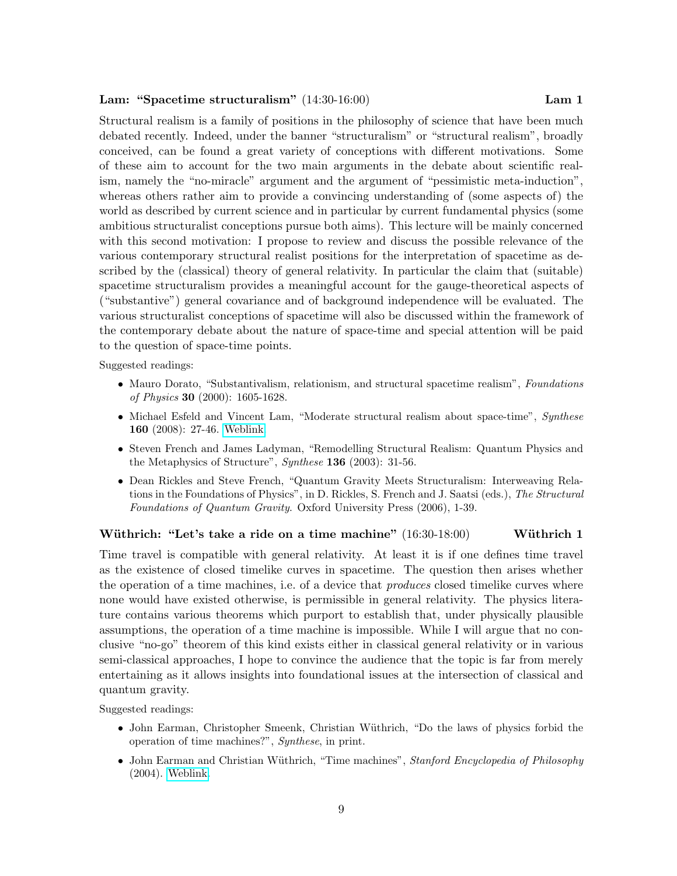### Lam: "Spacetime structuralism" (14:30-16:00) Lam 1

Structural realism is a family of positions in the philosophy of science that have been much debated recently. Indeed, under the banner "structuralism" or "structural realism", broadly conceived, can be found a great variety of conceptions with different motivations. Some of these aim to account for the two main arguments in the debate about scientific realism, namely the "no-miracle" argument and the argument of "pessimistic meta-induction", whereas others rather aim to provide a convincing understanding of (some aspects of) the world as described by current science and in particular by current fundamental physics (some ambitious structuralist conceptions pursue both aims). This lecture will be mainly concerned with this second motivation: I propose to review and discuss the possible relevance of the various contemporary structural realist positions for the interpretation of spacetime as described by the (classical) theory of general relativity. In particular the claim that (suitable) spacetime structuralism provides a meaningful account for the gauge-theoretical aspects of ("substantive") general covariance and of background independence will be evaluated. The various structuralist conceptions of spacetime will also be discussed within the framework of the contemporary debate about the nature of space-time and special attention will be paid to the question of space-time points.

Suggested readings:

- Mauro Dorato, "Substantivalism, relationism, and structural spacetime realism", Foundations of Physics 30 (2000): 1605-1628.
- Michael Esfeld and Vincent Lam, "Moderate structural realism about space-time", Synthese 160 (2008): 27-46. [Weblink.](http://philsci-archive.pitt.edu/archive/00002778/)
- Steven French and James Ladyman, "Remodelling Structural Realism: Quantum Physics and the Metaphysics of Structure", Synthese 136 (2003): 31-56.
- Dean Rickles and Steve French, "Quantum Gravity Meets Structuralism: Interweaving Relations in the Foundations of Physics", in D. Rickles, S. French and J. Saatsi (eds.), The Structural Foundations of Quantum Gravity. Oxford University Press (2006), 1-39.

#### Wüthrich: "Let's take a ride on a time machine"  $(16:30-18:00)$  Wüthrich 1

Time travel is compatible with general relativity. At least it is if one defines time travel as the existence of closed timelike curves in spacetime. The question then arises whether the operation of a time machines, i.e. of a device that *produces* closed timelike curves where none would have existed otherwise, is permissible in general relativity. The physics literature contains various theorems which purport to establish that, under physically plausible assumptions, the operation of a time machine is impossible. While I will argue that no conclusive "no-go" theorem of this kind exists either in classical general relativity or in various semi-classical approaches, I hope to convince the audience that the topic is far from merely entertaining as it allows insights into foundational issues at the intersection of classical and quantum gravity.

- John Earman, Christopher Smeenk, Christian Wüthrich, "Do the laws of physics forbid the operation of time machines?", Synthese, in print.
- John Earman and Christian Wüthrich, "Time machines", Stanford Encyclopedia of Philosophy (2004). [Weblink.](http://www.science.uva.nl/~seop/entries/time-machine/)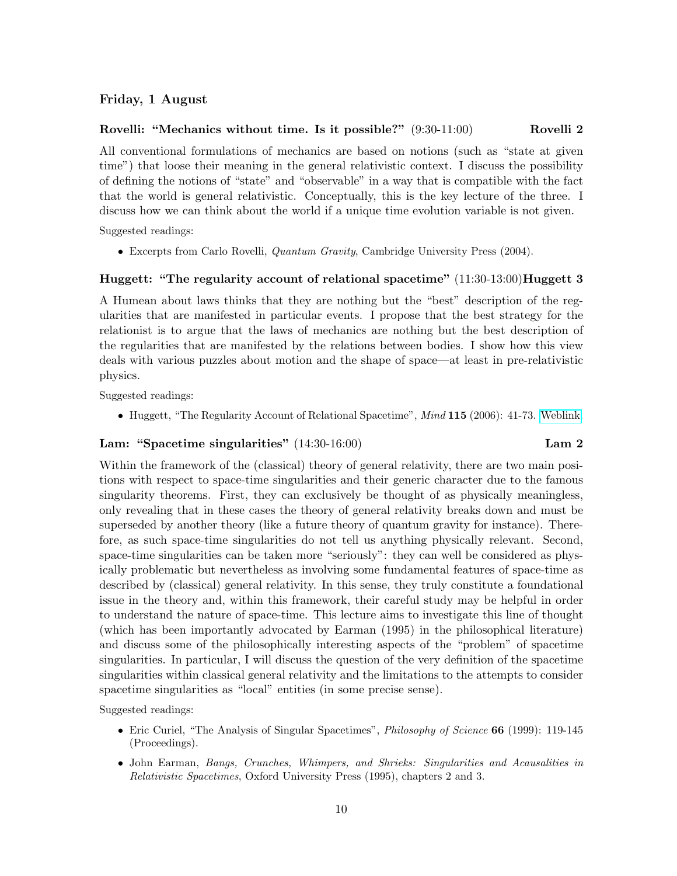### Friday, 1 August

#### Rovelli: "Mechanics without time. Is it possible?"  $(9:30-11:00)$  Rovelli 2

All conventional formulations of mechanics are based on notions (such as "state at given time") that loose their meaning in the general relativistic context. I discuss the possibility of defining the notions of "state" and "observable" in a way that is compatible with the fact that the world is general relativistic. Conceptually, this is the key lecture of the three. I discuss how we can think about the world if a unique time evolution variable is not given.

Suggested readings:

• Excerpts from Carlo Rovelli, Quantum Gravity, Cambridge University Press (2004).

#### Huggett: "The regularity account of relational spacetime"  $(11:30-13:00)$ Huggett 3

A Humean about laws thinks that they are nothing but the "best" description of the regularities that are manifested in particular events. I propose that the best strategy for the relationist is to argue that the laws of mechanics are nothing but the best description of the regularities that are manifested by the relations between bodies. I show how this view deals with various puzzles about motion and the shape of space—at least in pre-relativistic physics.

Suggested readings:

• Huggett, "The Regularity Account of Relational Spacetime", *Mind* 115 (2006): 41-73. [Weblink.](http://tigger.uic.edu/~huggett/Nick/My%20Work.html)

# Lam: "Spacetime singularities" (14:30-16:00) Lam 2

Within the framework of the (classical) theory of general relativity, there are two main positions with respect to space-time singularities and their generic character due to the famous singularity theorems. First, they can exclusively be thought of as physically meaningless, only revealing that in these cases the theory of general relativity breaks down and must be superseded by another theory (like a future theory of quantum gravity for instance). Therefore, as such space-time singularities do not tell us anything physically relevant. Second, space-time singularities can be taken more "seriously": they can well be considered as physically problematic but nevertheless as involving some fundamental features of space-time as described by (classical) general relativity. In this sense, they truly constitute a foundational issue in the theory and, within this framework, their careful study may be helpful in order to understand the nature of space-time. This lecture aims to investigate this line of thought (which has been importantly advocated by Earman (1995) in the philosophical literature) and discuss some of the philosophically interesting aspects of the "problem" of spacetime singularities. In particular, I will discuss the question of the very definition of the spacetime singularities within classical general relativity and the limitations to the attempts to consider spacetime singularities as "local" entities (in some precise sense).

- Eric Curiel, "The Analysis of Singular Spacetimes", *Philosophy of Science* 66 (1999): 119-145 (Proceedings).
- John Earman, Bangs, Crunches, Whimpers, and Shrieks: Singularities and Acausalities in Relativistic Spacetimes, Oxford University Press (1995), chapters 2 and 3.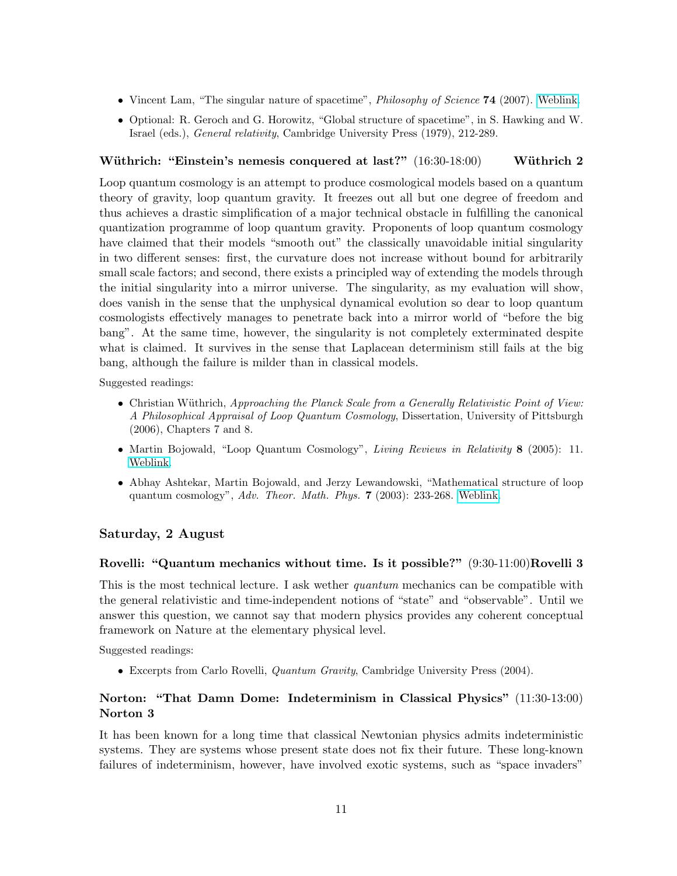- Vincent Lam, "The singular nature of spacetime", *Philosophy of Science* **74** (2007). [Weblink.](http://philsci-archive.pitt.edu/archive/00003172/)
- Optional: R. Geroch and G. Horowitz, "Global structure of spacetime", in S. Hawking and W. Israel (eds.), General relativity, Cambridge University Press (1979), 212-289.

# Wüthrich: "Einstein's nemesis conquered at last?" (16:30-18:00) Wüthrich 2

Loop quantum cosmology is an attempt to produce cosmological models based on a quantum theory of gravity, loop quantum gravity. It freezes out all but one degree of freedom and thus achieves a drastic simplification of a major technical obstacle in fulfilling the canonical quantization programme of loop quantum gravity. Proponents of loop quantum cosmology have claimed that their models "smooth out" the classically unavoidable initial singularity in two different senses: first, the curvature does not increase without bound for arbitrarily small scale factors; and second, there exists a principled way of extending the models through the initial singularity into a mirror universe. The singularity, as my evaluation will show, does vanish in the sense that the unphysical dynamical evolution so dear to loop quantum cosmologists effectively manages to penetrate back into a mirror world of "before the big bang". At the same time, however, the singularity is not completely exterminated despite what is claimed. It survives in the sense that Laplacean determinism still fails at the big bang, although the failure is milder than in classical models.

Suggested readings:

- Christian Wüthrich, Approaching the Planck Scale from a Generally Relativistic Point of View: A Philosophical Appraisal of Loop Quantum Cosmology, Dissertation, University of Pittsburgh (2006), Chapters 7 and 8.
- Martin Bojowald, "Loop Quantum Cosmology", Living Reviews in Relativity 8 (2005): 11. [Weblink.](http://www.livingreviews.org/lrr-2005-11)
- Abhay Ashtekar, Martin Bojowald, and Jerzy Lewandowski, "Mathematical structure of loop quantum cosmology", Adv. Theor. Math. Phys. 7 (2003): 233-268. [Weblink.](http://arxiv.org/abs/gr-qc/0304074)

### Saturday, 2 August

#### Rovelli: "Quantum mechanics without time. Is it possible?" (9:30-11:00)Rovelli 3

This is the most technical lecture. I ask wether *quantum* mechanics can be compatible with the general relativistic and time-independent notions of "state" and "observable". Until we answer this question, we cannot say that modern physics provides any coherent conceptual framework on Nature at the elementary physical level.

Suggested readings:

• Excerpts from Carlo Rovelli, Quantum Gravity, Cambridge University Press (2004).

# Norton: "That Damn Dome: Indeterminism in Classical Physics" (11:30-13:00) Norton 3

It has been known for a long time that classical Newtonian physics admits indeterministic systems. They are systems whose present state does not fix their future. These long-known failures of indeterminism, however, have involved exotic systems, such as "space invaders"